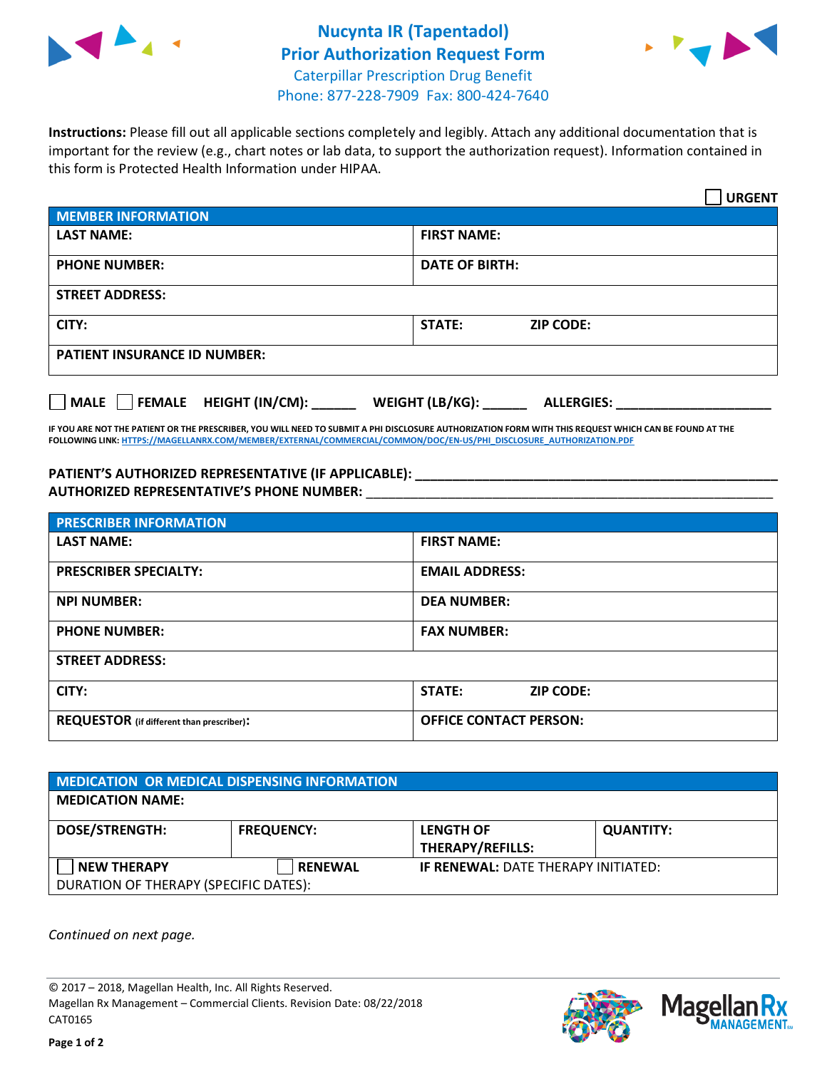



**Instructions:** Please fill out all applicable sections completely and legibly. Attach any additional documentation that is important for the review (e.g., chart notes or lab data, to support the authorization request). Information contained in this form is Protected Health Information under HIPAA.

|                                     | <b>URGENT</b>                        |
|-------------------------------------|--------------------------------------|
| <b>MEMBER INFORMATION</b>           |                                      |
| <b>LAST NAME:</b>                   | <b>FIRST NAME:</b>                   |
| <b>PHONE NUMBER:</b>                | <b>DATE OF BIRTH:</b>                |
| <b>STREET ADDRESS:</b>              |                                      |
| CITY:                               | <b>ZIP CODE:</b><br>STATE:           |
| <b>PATIENT INSURANCE ID NUMBER:</b> |                                      |
| MALE FEMALE HEIGHT (IN/CM):         | WEIGHT (LB/KG):<br><b>ALLERGIES:</b> |

**IF YOU ARE NOT THE PATIENT OR THE PRESCRIBER, YOU WILL NEED TO SUBMIT A PHI DISCLOSURE AUTHORIZATION FORM WITH THIS REQUEST WHICH CAN BE FOUND AT THE FOLLOWING LINK[: HTTPS://MAGELLANRX.COM/MEMBER/EXTERNAL/COMMERCIAL/COMMON/DOC/EN-US/PHI\\_DISCLOSURE\\_AUTHORIZATION.PDF](https://magellanrx.com/member/external/commercial/common/doc/en-us/PHI_Disclosure_Authorization.pdf)**

PATIENT'S AUTHORIZED REPRESENTATIVE (IF APPLICABLE): **\_\_\_\_\_\_\_\_\_\_\_\_\_\_\_\_\_\_\_\_\_\_ AUTHORIZED REPRESENTATIVE'S PHONE NUMBER:** \_\_\_\_\_\_\_\_\_\_\_\_\_\_\_\_\_\_\_\_\_\_\_\_\_\_\_\_\_\_\_\_\_\_\_\_\_\_\_\_\_\_\_\_\_\_\_\_\_\_\_\_\_\_\_

| <b>PRESCRIBER INFORMATION</b>             |                                   |  |
|-------------------------------------------|-----------------------------------|--|
| <b>LAST NAME:</b>                         | <b>FIRST NAME:</b>                |  |
| <b>PRESCRIBER SPECIALTY:</b>              | <b>EMAIL ADDRESS:</b>             |  |
| <b>NPI NUMBER:</b>                        | <b>DEA NUMBER:</b>                |  |
| <b>PHONE NUMBER:</b>                      | <b>FAX NUMBER:</b>                |  |
| <b>STREET ADDRESS:</b>                    |                                   |  |
| CITY:                                     | <b>STATE:</b><br><b>ZIP CODE:</b> |  |
| REQUESTOR (if different than prescriber): | <b>OFFICE CONTACT PERSON:</b>     |  |

| <b>MEDICATION OR MEDICAL DISPENSING INFORMATION</b> |                   |                                            |                  |  |  |
|-----------------------------------------------------|-------------------|--------------------------------------------|------------------|--|--|
| <b>MEDICATION NAME:</b>                             |                   |                                            |                  |  |  |
| <b>DOSE/STRENGTH:</b>                               | <b>FREQUENCY:</b> | <b>LENGTH OF</b>                           | <b>QUANTITY:</b> |  |  |
|                                                     |                   | <b>THERAPY/REFILLS:</b>                    |                  |  |  |
| <b>NEW THERAPY</b>                                  | <b>RENEWAL</b>    | <b>IF RENEWAL: DATE THERAPY INITIATED:</b> |                  |  |  |
| DURATION OF THERAPY (SPECIFIC DATES):               |                   |                                            |                  |  |  |

*Continued on next page.*

© 2017 – 2018, Magellan Health, Inc. All Rights Reserved. Magellan Rx Management – Commercial Clients. Revision Date: 08/22/2018 CAT0165